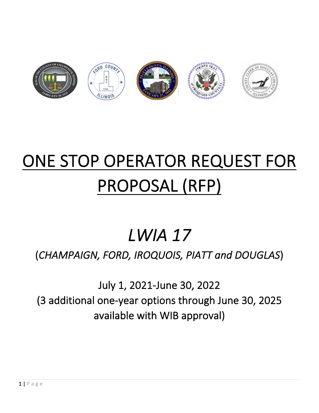

# ONE STOP OPERATOR REQUEST FOR PROPOSAL (RFP)

## *LWIA 17*

(*CHAMPAIGN, FORD, IROQUOIS, PIATT and DOUGLAS*)

July 1, 2021-June 30, 2022 (3 additional one-year options through June 30, 2025 available with WIB approval)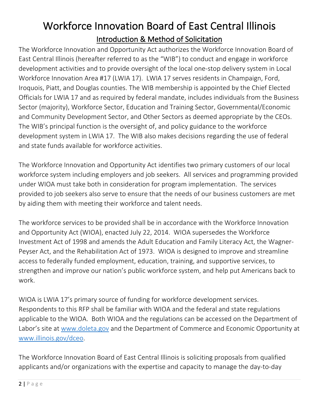### Workforce Innovation Board of East Central Illinois Introduction & Method of Solicitation

The Workforce Innovation and Opportunity Act authorizes the Workforce Innovation Board of East Central Illinois (hereafter referred to as the "WIB") to conduct and engage in workforce development activities and to provide oversight of the local one-stop delivery system in Local Workforce Innovation Area #17 (LWIA 17). LWIA 17 serves residents in Champaign, Ford, Iroquois, Piatt, and Douglas counties. The WIB membership is appointed by the Chief Elected Officials for LWIA 17 and as required by federal mandate, includes individuals from the Business Sector (majority), Workforce Sector, Education and Training Sector, Governmental/Economic and Community Development Sector, and Other Sectors as deemed appropriate by the CEOs. The WIB's principal function is the oversight of, and policy guidance to the workforce development system in LWIA 17. The WIB also makes decisions regarding the use of federal and state funds available for workforce activities.

The Workforce Innovation and Opportunity Act identifies two primary customers of our local workforce system including employers and job seekers. All services and programming provided under WIOA must take both in consideration for program implementation. The services provided to job seekers also serve to ensure that the needs of our business customers are met by aiding them with meeting their workforce and talent needs.

The workforce services to be provided shall be in accordance with the Workforce Innovation and Opportunity Act (WIOA), enacted July 22, 2014. WIOA supersedes the Workforce Investment Act of 1998 and amends the Adult Education and Family Literacy Act, the Wagner-Peyser Act, and the Rehabilitation Act of 1973. WIOA is designed to improve and streamline access to federally funded employment, education, training, and supportive services, to strengthen and improve our nation's public workforce system, and help put Americans back to work.

WIOA is LWIA 17's primary source of funding for workforce development services. Respondents to this RFP shall be familiar with WIOA and the federal and state regulations applicable to the WIOA. Both WIOA and the regulations can be accessed on the Department of Labor's site at www.doleta.gov and the Department of Commerce and Economic Opportunity at www.illinois.gov/dceo.

The Workforce Innovation Board of East Central Illinois is soliciting proposals from qualified applicants and/or organizations with the expertise and capacity to manage the day-to-day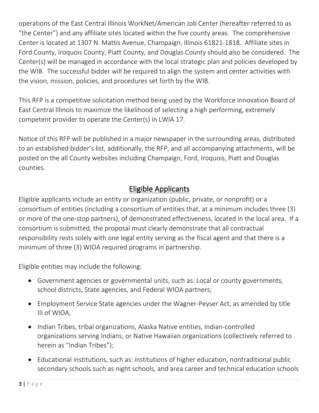operations of the East Central Illinois WorkNet/American Job Center (hereafter referred to as "the Center") and any affiliate sites located within the five county areas. The comprehensive Center is located at 1307 N. Mattis Avenue, Champaign, Illinois 61821-1818. Affiliate sites in Ford County, Iroquois County, Piatt County, and Douglas County should also be considered. The Center(s) will be managed in accordance with the local strategic plan and policies developed by the WIB. The successful bidder will be required to align the system and center activities with the vision, mission, policies, and procedures set forth by the WIB.

This RFP is a competitive solicitation method being used by the Workforce Innovation Board of East Central Illinois to maximize the likelihood of selecting a high performing, extremely competent provider to operate the Center(s) in LWIA 17.

Notice of this RFP will be published in a major newspaper in the surrounding areas, distributed to an established bidder's list, additionally, the RFP, and all accompanying attachments, will be posted on the all County websites including Champaign, Ford, Iroquois, Piatt and Douglas counties.

#### Eligible Applicants

Eligible applicants include an entity or organization (public, private, or nonprofit) or a consortium of entities (including a consortium of entities that, at a minimum includes three (3) or more of the one-stop partners), of demonstrated effectiveness, located in the local area. If a consortium is submitted, the proposal must clearly demonstrate that all contractual responsibility rests solely with one legal entity serving as the fiscal agent and that there is a minimum of three (3) WIOA required programs in partnership.

Eligible entities may include the following:

- Government agencies or governmental units, such as: Local or county governments, school districts, State agencies, and Federal WIOA partners;
- Employment Service State agencies under the Wagner-Peyser Act, as amended by title III of WIOA;
- Indian Tribes, tribal organizations, Alaska Native entities, Indian-controlled organizations serving Indians, or Native Hawaiian organizations (collectively referred to herein as "Indian Tribes");
- Educational institutions, such as: institutions of higher education, nontraditional public secondary schools such as night schools, and area career and technical education schools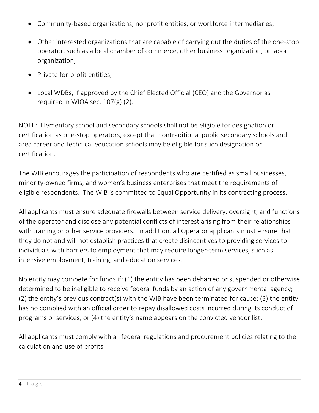- Community-based organizations, nonprofit entities, or workforce intermediaries;
- Other interested organizations that are capable of carrying out the duties of the one-stop operator, such as a local chamber of commerce, other business organization, or labor organization;
- Private for-profit entities;
- Local WDBs, if approved by the Chief Elected Official (CEO) and the Governor as required in WIOA sec.  $107(g)(2)$ .

NOTE: Elementary school and secondary schools shall not be eligible for designation or certification as one-stop operators, except that nontraditional public secondary schools and area career and technical education schools may be eligible for such designation or certification.

The WIB encourages the participation of respondents who are certified as small businesses, minority-owned firms, and women's business enterprises that meet the requirements of eligible respondents. The WIB is committed to Equal Opportunity in its contracting process.

All applicants must ensure adequate firewalls between service delivery, oversight, and functions of the operator and disclose any potential conflicts of interest arising from their relationships with training or other service providers. In addition, all Operator applicants must ensure that they do not and will not establish practices that create disincentives to providing services to individuals with barriers to employment that may require longer-term services, such as intensive employment, training, and education services.

No entity may compete for funds if: (1) the entity has been debarred or suspended or otherwise determined to be ineligible to receive federal funds by an action of any governmental agency; (2) the entity's previous contract(s) with the WIB have been terminated for cause; (3) the entity has no complied with an official order to repay disallowed costs incurred during its conduct of programs or services; or (4) the entity's name appears on the convicted vendor list.

All applicants must comply with all federal regulations and procurement policies relating to the calculation and use of profits.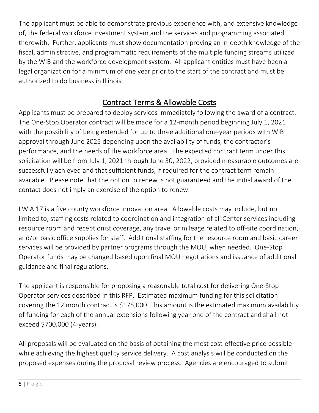The applicant must be able to demonstrate previous experience with, and extensive knowledge of, the federal workforce investment system and the services and programming associated therewith. Further, applicants must show documentation proving an in-depth knowledge of the fiscal, administrative, and programmatic requirements of the multiple funding streams utilized by the WIB and the workforce development system. All applicant entities must have been a legal organization for a minimum of one year prior to the start of the contract and must be authorized to do business in Illinois.

#### Contract Terms & Allowable Costs

Applicants must be prepared to deploy services immediately following the award of a contract. The One-Stop Operator contract will be made for a 12-month period beginning July 1, 2021 with the possibility of being extended for up to three additional one-year periods with WIB approval through June 2025 depending upon the availability of funds, the contractor's performance, and the needs of the workforce area. The expected contract term under this solicitation will be from July 1, 2021 through June 30, 2022, provided measurable outcomes are successfully achieved and that sufficient funds, if required for the contract term remain available. Please note that the option to renew is not guaranteed and the initial award of the contact does not imply an exercise of the option to renew.

LWIA 17 is a five county workforce innovation area. Allowable costs may include, but not limited to, staffing costs related to coordination and integration of all Center services including resource room and receptionist coverage, any travel or mileage related to off-site coordination, and/or basic office supplies for staff. Additional staffing for the resource room and basic career services will be provided by partner programs through the MOU, when needed. One-Stop Operator funds may be changed based upon final MOU negotiations and issuance of additional guidance and final regulations.

The applicant is responsible for proposing a reasonable total cost for delivering One-Stop Operator services described in this RFP. Estimated maximum funding for this solicitation covering the 12 month contract is \$175,000. This amount is the estimated maximum availability of funding for each of the annual extensions following year one of the contract and shall not exceed \$700,000 (4-years).

All proposals will be evaluated on the basis of obtaining the most cost-effective price possible while achieving the highest quality service delivery. A cost analysis will be conducted on the proposed expenses during the proposal review process. Agencies are encouraged to submit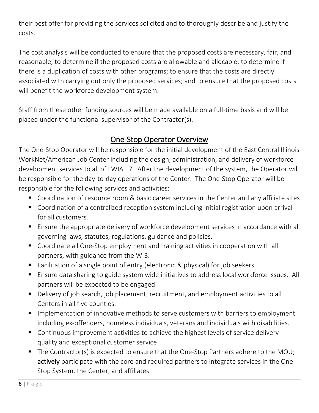their best offer for providing the services solicited and to thoroughly describe and justify the costs.

The cost analysis will be conducted to ensure that the proposed costs are necessary, fair, and reasonable; to determine if the proposed costs are allowable and allocable; to determine if there is a duplication of costs with other programs; to ensure that the costs are directly associated with carrying out only the proposed services; and to ensure that the proposed costs will benefit the workforce development system.

Staff from these other funding sources will be made available on a full-time basis and will be placed under the functional supervisor of the Contractor(s).

#### One-Stop Operator Overview

The One-Stop Operator will be responsible for the initial development of the East Central Illinois WorkNet/American Job Center including the design, administration, and delivery of workforce development services to all of LWIA 17. After the development of the system, the Operator will be responsible for the day-to-day operations of the Center. The One-Stop Operator will be responsible for the following services and activities:

- Coordination of resource room & basic career services in the Center and any affiliate sites
- Coordination of a centralized reception system including initial registration upon arrival for all customers.
- Ensure the appropriate delivery of workforce development services in accordance with all governing laws, statutes, regulations, guidance and policies.
- Coordinate all One-Stop employment and training activities in cooperation with all partners, with guidance from the WIB.
- Facilitation of a single point of entry (electronic & physical) for job seekers.
- Ensure data sharing to guide system wide initiatives to address local workforce issues. All partners will be expected to be engaged.
- Delivery of job search, job placement, recruitment, and employment activities to all Centers in all five counties.
- Implementation of innovative methods to serve customers with barriers to employment including ex-offenders, homeless individuals, veterans and individuals with disabilities.
- Continuous improvement activities to achieve the highest levels of service delivery quality and exceptional customer service
- The Contractor(s) is expected to ensure that the One-Stop Partners adhere to the MOU; actively participate with the core and required partners to integrate services in the One-Stop System, the Center, and affiliates.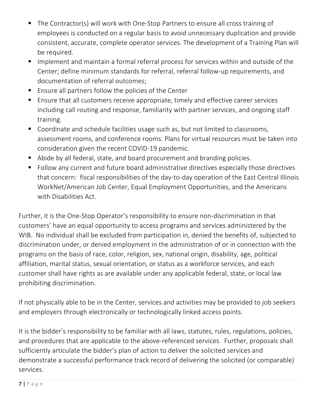- The Contractor(s) will work with One-Stop Partners to ensure all cross training of employees is conducted on a regular basis to avoid unnecessary duplication and provide consistent, accurate, complete operator services. The development of a Training Plan will be required.
- Implement and maintain a formal referral process for services within and outside of the Center; define minimum standards for referral, referral follow-up requirements, and documentation of referral outcomes;
- Ensure all partners follow the policies of the Center
- Ensure that all customers receive appropriate, timely and effective career services including call routing and response, familiarity with partner services, and ongoing staff training.
- Coordinate and schedule facilities usage such as, but not limited to classrooms, assessment rooms, and conference rooms. Plans for virtual resources must be taken into consideration given the recent COVID-19 pandemic.
- Abide by all federal, state, and board procurement and branding policies.
- Follow any current and future board administrative directives especially those directives that concern: fiscal responsibilities of the day-to-day operation of the East Central Illinois WorkNet/American Job Center, Equal Employment Opportunities, and the Americans with Disabilities Act.

Further, it is the One-Stop Operator's responsibility to ensure non-discrimination in that customers' have an equal opportunity to access programs and services administered by the WIB. No individual shall be excluded from participation in, denied the benefits of, subjected to discrimination under, or denied employment in the administration of or in connection with the programs on the basis of race, color, religion, sex, national origin, disability, age, political affiliation, marital status, sexual orientation, or status as a workforce services, and each customer shall have rights as are available under any applicable federal, state, or local law prohibiting discrimination.

If not physically able to be in the Center, services and activities may be provided to job seekers and employers through electronically or technologically linked access points.

It is the bidder's responsibility to be familiar with all laws, statutes, rules, regulations, policies, and procedures that are applicable to the above-referenced services. Further, proposals shall sufficiently articulate the bidder's plan of action to deliver the solicited services and demonstrate a successful performance track record of delivering the solicited (or comparable) services.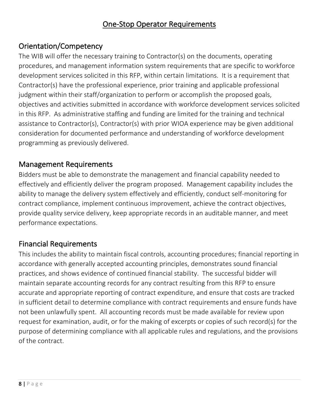#### One-Stop Operator Requirements

#### Orientation/Competency

The WIB will offer the necessary training to Contractor(s) on the documents, operating procedures, and management information system requirements that are specific to workforce development services solicited in this RFP, within certain limitations. It is a requirement that Contractor(s) have the professional experience, prior training and applicable professional judgment within their staff/organization to perform or accomplish the proposed goals, objectives and activities submitted in accordance with workforce development services solicited in this RFP. As administrative staffing and funding are limited for the training and technical assistance to Contractor(s), Contractor(s) with prior WIOA experience may be given additional consideration for documented performance and understanding of workforce development programming as previously delivered.

#### Management Requirements

Bidders must be able to demonstrate the management and financial capability needed to effectively and efficiently deliver the program proposed. Management capability includes the ability to manage the delivery system effectively and efficiently, conduct self-monitoring for contract compliance, implement continuous improvement, achieve the contract objectives, provide quality service delivery, keep appropriate records in an auditable manner, and meet performance expectations.

#### Financial Requirements

This includes the ability to maintain fiscal controls, accounting procedures; financial reporting in accordance with generally accepted accounting principles, demonstrates sound financial practices, and shows evidence of continued financial stability. The successful bidder will maintain separate accounting records for any contract resulting from this RFP to ensure accurate and appropriate reporting of contract expenditure, and ensure that costs are tracked in sufficient detail to determine compliance with contract requirements and ensure funds have not been unlawfully spent. All accounting records must be made available for review upon request for examination, audit, or for the making of excerpts or copies of such record(s) for the purpose of determining compliance with all applicable rules and regulations, and the provisions of the contract.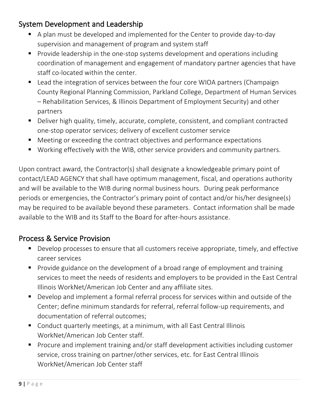#### System Development and Leadership

- A plan must be developed and implemented for the Center to provide day-to-day supervision and management of program and system staff
- § Provide leadership in the one-stop systems development and operations including coordination of management and engagement of mandatory partner agencies that have staff co-located within the center.
- Lead the integration of services between the four core WIOA partners (Champaign County Regional Planning Commission, Parkland College, Department of Human Services – Rehabilitation Services, & Illinois Department of Employment Security) and other partners
- Deliver high quality, timely, accurate, complete, consistent, and compliant contracted one-stop operator services; delivery of excellent customer service
- Meeting or exceeding the contract objectives and performance expectations
- Working effectively with the WIB, other service providers and community partners.

Upon contract award, the Contractor(s) shall designate a knowledgeable primary point of contact/LEAD AGENCY that shall have optimum management, fiscal, and operations authority and will be available to the WIB during normal business hours. During peak performance periods or emergencies, the Contractor's primary point of contact and/or his/her designee(s) may be required to be available beyond these parameters. Contact information shall be made available to the WIB and its Staff to the Board for after-hours assistance.

#### Process & Service Provision

- Develop processes to ensure that all customers receive appropriate, timely, and effective career services
- Provide guidance on the development of a broad range of employment and training services to meet the needs of residents and employers to be provided in the East Central Illinois WorkNet/American Job Center and any affiliate sites.
- Develop and implement a formal referral process for services within and outside of the Center; define minimum standards for referral, referral follow-up requirements, and documentation of referral outcomes;
- Conduct quarterly meetings, at a minimum, with all East Central Illinois WorkNet/American Job Center staff.
- Procure and implement training and/or staff development activities including customer service, cross training on partner/other services, etc. for East Central Illinois WorkNet/American Job Center staff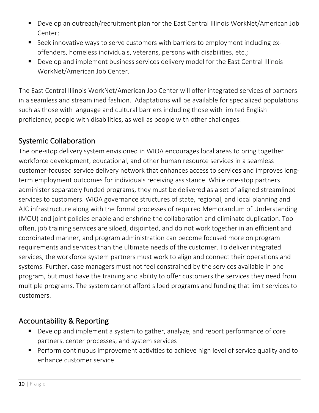- Develop an outreach/recruitment plan for the East Central Illinois WorkNet/American Job Center;
- Seek innovative ways to serve customers with barriers to employment including exoffenders, homeless individuals, veterans, persons with disabilities, etc.;
- Develop and implement business services delivery model for the East Central Illinois WorkNet/American Job Center.

The East Central Illinois WorkNet/American Job Center will offer integrated services of partners in a seamless and streamlined fashion. Adaptations will be available for specialized populations such as those with language and cultural barriers including those with limited English proficiency, people with disabilities, as well as people with other challenges.

#### Systemic Collaboration

The one-stop delivery system envisioned in WIOA encourages local areas to bring together workforce development, educational, and other human resource services in a seamless customer-focused service delivery network that enhances access to services and improves longterm employment outcomes for individuals receiving assistance. While one-stop partners administer separately funded programs, they must be delivered as a set of aligned streamlined services to customers. WIOA governance structures of state, regional, and local planning and AJC infrastructure along with the formal processes of required Memorandum of Understanding (MOU) and joint policies enable and enshrine the collaboration and eliminate duplication. Too often, job training services are siloed, disjointed, and do not work together in an efficient and coordinated manner, and program administration can become focused more on program requirements and services than the ultimate needs of the customer. To deliver integrated services, the workforce system partners must work to align and connect their operations and systems. Further, case managers must not feel constrained by the services available in one program, but must have the training and ability to offer customers the services they need from multiple programs. The system cannot afford siloed programs and funding that limit services to customers.

#### Accountability & Reporting

- Develop and implement a system to gather, analyze, and report performance of core partners, center processes, and system services
- Perform continuous improvement activities to achieve high level of service quality and to enhance customer service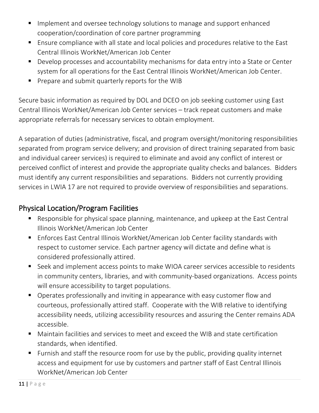- Implement and oversee technology solutions to manage and support enhanced cooperation/coordination of core partner programming
- Ensure compliance with all state and local policies and procedures relative to the East Central Illinois WorkNet/American Job Center
- Develop processes and accountability mechanisms for data entry into a State or Center system for all operations for the East Central Illinois WorkNet/American Job Center.
- § Prepare and submit quarterly reports for the WIB

Secure basic information as required by DOL and DCEO on job seeking customer using East Central Illinois WorkNet/American Job Center services – track repeat customers and make appropriate referrals for necessary services to obtain employment.

A separation of duties (administrative, fiscal, and program oversight/monitoring responsibilities separated from program service delivery; and provision of direct training separated from basic and individual career services) is required to eliminate and avoid any conflict of interest or perceived conflict of interest and provide the appropriate quality checks and balances. Bidders must identify any current responsibilities and separations. Bidders not currently providing services in LWIA 17 are not required to provide overview of responsibilities and separations.

#### Physical Location/Program Facilities

- Responsible for physical space planning, maintenance, and upkeep at the East Central Illinois WorkNet/American Job Center
- Enforces East Central Illinois WorkNet/American Job Center facility standards with respect to customer service. Each partner agency will dictate and define what is considered professionally attired.
- Seek and implement access points to make WIOA career services accessible to residents in community centers, libraries, and with community-based organizations. Access points will ensure accessibility to target populations.
- Operates professionally and inviting in appearance with easy customer flow and courteous, professionally attired staff. Cooperate with the WIB relative to identifying accessibility needs, utilizing accessibility resources and assuring the Center remains ADA accessible.
- Maintain facilities and services to meet and exceed the WIB and state certification standards, when identified.
- Furnish and staff the resource room for use by the public, providing quality internet access and equipment for use by customers and partner staff of East Central Illinois WorkNet/American Job Center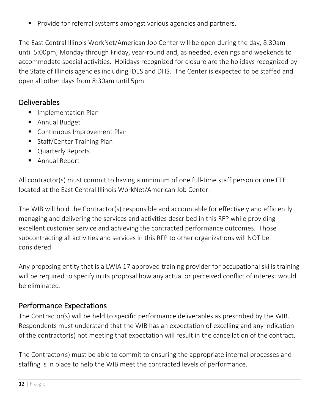■ Provide for referral systems amongst various agencies and partners.

The East Central Illinois WorkNet/American Job Center will be open during the day, 8:30am until 5:00pm, Monday through Friday, year-round and, as needed, evenings and weekends to accommodate special activities. Holidays recognized for closure are the holidays recognized by the State of Illinois agencies including IDES and DHS. The Center is expected to be staffed and open all other days from 8:30am until 5pm.

#### Deliverables

- Implementation Plan
- Annual Budget
- Continuous Improvement Plan
- Staff/Center Training Plan
- Quarterly Reports
- Annual Report

All contractor(s) must commit to having a minimum of one full-time staff person or one FTE located at the East Central Illinois WorkNet/American Job Center.

The WIB will hold the Contractor(s) responsible and accountable for effectively and efficiently managing and delivering the services and activities described in this RFP while providing excellent customer service and achieving the contracted performance outcomes. Those subcontracting all activities and services in this RFP to other organizations will NOT be considered.

Any proposing entity that is a LWIA 17 approved training provider for occupational skills training will be required to specify in its proposal how any actual or perceived conflict of interest would be eliminated.

#### Performance Expectations

The Contractor(s) will be held to specific performance deliverables as prescribed by the WIB. Respondents must understand that the WIB has an expectation of excelling and any indication of the contractor(s) not meeting that expectation will result in the cancellation of the contract.

The Contractor(s) must be able to commit to ensuring the appropriate internal processes and staffing is in place to help the WIB meet the contracted levels of performance.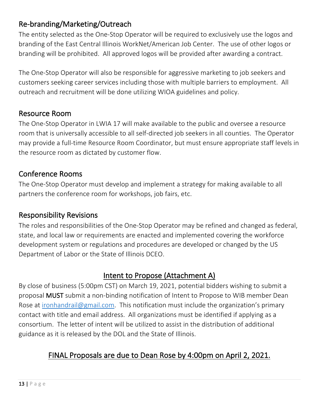#### Re-branding/Marketing/Outreach

The entity selected as the One-Stop Operator will be required to exclusively use the logos and branding of the East Central Illinois WorkNet/American Job Center. The use of other logos or branding will be prohibited. All approved logos will be provided after awarding a contract.

The One-Stop Operator will also be responsible for aggressive marketing to job seekers and customers seeking career services including those with multiple barriers to employment. All outreach and recruitment will be done utilizing WIOA guidelines and policy.

#### Resource Room

The One-Stop Operator in LWIA 17 will make available to the public and oversee a resource room that is universally accessible to all self-directed job seekers in all counties. The Operator may provide a full-time Resource Room Coordinator, but must ensure appropriate staff levels in the resource room as dictated by customer flow.

#### Conference Rooms

The One-Stop Operator must develop and implement a strategy for making available to all partners the conference room for workshops, job fairs, etc.

#### Responsibility Revisions

The roles and responsibilities of the One-Stop Operator may be refined and changed as federal, state, and local law or requirements are enacted and implemented covering the workforce development system or regulations and procedures are developed or changed by the US Department of Labor or the State of Illinois DCEO.

#### Intent to Propose (Attachment A)

By close of business (5:00pm CST) on March 19, 2021, potential bidders wishing to submit a proposal MUST submit a non-binding notification of Intent to Propose to WIB member Dean Rose at ironhandrail@gmail.com. This notification must include the organization's primary contact with title and email address. All organizations must be identified if applying as a consortium. The letter of intent will be utilized to assist in the distribution of additional guidance as it is released by the DOL and the State of Illinois.

#### FINAL Proposals are due to Dean Rose by 4:00pm on April 2, 2021.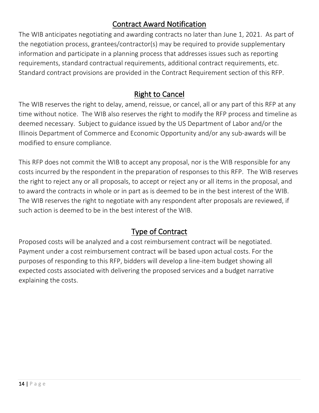#### Contract Award Notification

The WIB anticipates negotiating and awarding contracts no later than June 1, 2021. As part of the negotiation process, grantees/contractor(s) may be required to provide supplementary information and participate in a planning process that addresses issues such as reporting requirements, standard contractual requirements, additional contract requirements, etc. Standard contract provisions are provided in the Contract Requirement section of this RFP.

#### Right to Cancel

The WIB reserves the right to delay, amend, reissue, or cancel, all or any part of this RFP at any time without notice. The WIB also reserves the right to modify the RFP process and timeline as deemed necessary. Subject to guidance issued by the US Department of Labor and/or the Illinois Department of Commerce and Economic Opportunity and/or any sub-awards will be modified to ensure compliance.

This RFP does not commit the WIB to accept any proposal, nor is the WIB responsible for any costs incurred by the respondent in the preparation of responses to this RFP. The WIB reserves the right to reject any or all proposals, to accept or reject any or all items in the proposal, and to award the contracts in whole or in part as is deemed to be in the best interest of the WIB. The WIB reserves the right to negotiate with any respondent after proposals are reviewed, if such action is deemed to be in the best interest of the WIB.

#### Type of Contract

Proposed costs will be analyzed and a cost reimbursement contract will be negotiated. Payment under a cost reimbursement contract will be based upon actual costs. For the purposes of responding to this RFP, bidders will develop a line-item budget showing all expected costs associated with delivering the proposed services and a budget narrative explaining the costs.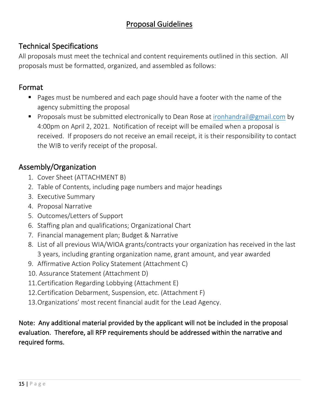#### Proposal Guidelines

#### Technical Specifications

All proposals must meet the technical and content requirements outlined in this section. All proposals must be formatted, organized, and assembled as follows:

#### Format

- Pages must be numbered and each page should have a footer with the name of the agency submitting the proposal
- **•** Proposals must be submitted electronically to Dean Rose at ironhandrail@gmail.com by 4:00pm on April 2, 2021. Notification of receipt will be emailed when a proposal is received. If proposers do not receive an email receipt, it is their responsibility to contact the WIB to verify receipt of the proposal.

#### Assembly/Organization

- 1. Cover Sheet (ATTACHMENT B)
- 2. Table of Contents, including page numbers and major headings
- 3. Executive Summary
- 4. Proposal Narrative
- 5. Outcomes/Letters of Support
- 6. Staffing plan and qualifications; Organizational Chart
- 7. Financial management plan; Budget & Narrative
- 8. List of all previous WIA/WIOA grants/contracts your organization has received in the last 3 years, including granting organization name, grant amount, and year awarded
- 9. Affirmative Action Policy Statement (Attachment C)
- 10. Assurance Statement (Attachment D)
- 11.Certification Regarding Lobbying (Attachment E)
- 12.Certification Debarment, Suspension, etc. (Attachment F)
- 13.Organizations' most recent financial audit for the Lead Agency.

#### Note: Any additional material provided by the applicant will not be included in the proposal evaluation. Therefore, all RFP requirements should be addressed within the narrative and required forms.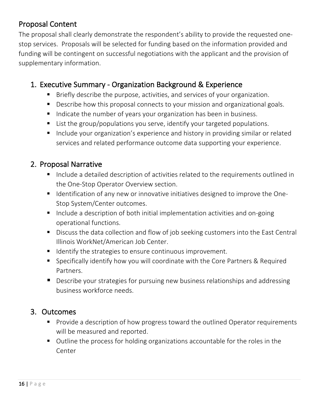#### Proposal Content

The proposal shall clearly demonstrate the respondent's ability to provide the requested onestop services. Proposals will be selected for funding based on the information provided and funding will be contingent on successful negotiations with the applicant and the provision of supplementary information.

#### 1. Executive Summary - Organization Background & Experience

- Briefly describe the purpose, activities, and services of your organization.
- Describe how this proposal connects to your mission and organizational goals.
- Indicate the number of years your organization has been in business.
- List the group/populations you serve, identify your targeted populations.
- Include your organization's experience and history in providing similar or related services and related performance outcome data supporting your experience.

#### 2. Proposal Narrative

- Include a detailed description of activities related to the requirements outlined in the One-Stop Operator Overview section.
- Identification of any new or innovative initiatives designed to improve the One-Stop System/Center outcomes.
- Include a description of both initial implementation activities and on-going operational functions.
- Discuss the data collection and flow of job seeking customers into the East Central Illinois WorkNet/American Job Center.
- Identify the strategies to ensure continuous improvement.
- Specifically identify how you will coordinate with the Core Partners & Required Partners.
- Describe your strategies for pursuing new business relationships and addressing business workforce needs.

#### 3. Outcomes

- Provide a description of how progress toward the outlined Operator requirements will be measured and reported.
- Outline the process for holding organizations accountable for the roles in the Center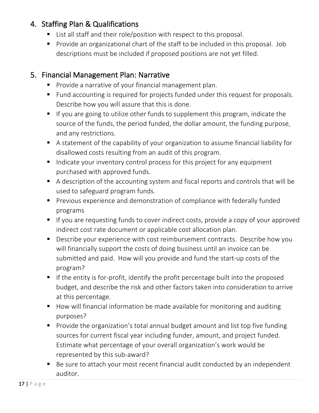#### 4. Staffing Plan & Qualifications

- List all staff and their role/position with respect to this proposal.
- Provide an organizational chart of the staff to be included in this proposal. Job descriptions must be included if proposed positions are not yet filled.

#### 5. Financial Management Plan: Narrative

- Provide a narrative of your financial management plan.
- Fund accounting is required for projects funded under this request for proposals. Describe how you will assure that this is done.
- If you are going to utilize other funds to supplement this program, indicate the source of the funds, the period funded, the dollar amount, the funding purpose, and any restrictions.
- A statement of the capability of your organization to assume financial liability for disallowed costs resulting from an audit of this program.
- Indicate your inventory control process for this project for any equipment purchased with approved funds.
- A description of the accounting system and fiscal reports and controls that will be used to safeguard program funds.
- Previous experience and demonstration of compliance with federally funded programs
- If you are requesting funds to cover indirect costs, provide a copy of your approved indirect cost rate document or applicable cost allocation plan.
- Describe your experience with cost reimbursement contracts. Describe how you will financially support the costs of doing business until an invoice can be submitted and paid. How will you provide and fund the start-up costs of the program?
- If the entity is for-profit, identify the profit percentage built into the proposed budget, and describe the risk and other factors taken into consideration to arrive at this percentage.
- How will financial information be made available for monitoring and auditing purposes?
- Provide the organization's total annual budget amount and list top five funding sources for current fiscal year including funder, amount, and project funded. Estimate what percentage of your overall organization's work would be represented by this sub-award?
- Be sure to attach your most recent financial audit conducted by an independent auditor.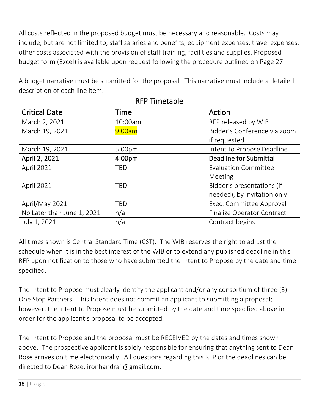All costs reflected in the proposed budget must be necessary and reasonable. Costs may include, but are not limited to, staff salaries and benefits, equipment expenses, travel expenses, other costs associated with the provision of staff training, facilities and supplies. Proposed budget form (Excel) is available upon request following the procedure outlined on Page 27.

A budget narrative must be submitted for the proposal. This narrative must include a detailed description of each line item.

| <b>Critical Date</b>       | Time               | Action                        |  |
|----------------------------|--------------------|-------------------------------|--|
| March 2, 2021              | 10:00am            | RFP released by WIB           |  |
| March 19, 2021             | 9:00am             | Bidder's Conference via zoom  |  |
|                            |                    | if requested                  |  |
| March 19, 2021             | 5:00 <sub>pm</sub> | Intent to Propose Deadline    |  |
| April 2, 2021              | 4:00 <sub>pm</sub> | <b>Deadline for Submittal</b> |  |
| April 2021                 | <b>TBD</b>         | <b>Evaluation Committee</b>   |  |
|                            |                    | Meeting                       |  |
| <b>April 2021</b>          | <b>TBD</b>         | Bidder's presentations (if    |  |
|                            |                    | needed), by invitation only   |  |
| April/May 2021             | <b>TBD</b>         | Exec. Committee Approval      |  |
| No Later than June 1, 2021 | n/a                | Finalize Operator Contract    |  |
| July 1, 2021               | n/a                | Contract begins               |  |

#### RFP Timetable

All times shown is Central Standard Time (CST). The WIB reserves the right to adjust the schedule when it is in the best interest of the WIB or to extend any published deadline in this RFP upon notification to those who have submitted the Intent to Propose by the date and time specified.

The Intent to Propose must clearly identify the applicant and/or any consortium of three (3) One Stop Partners. This Intent does not commit an applicant to submitting a proposal; however, the Intent to Propose must be submitted by the date and time specified above in order for the applicant's proposal to be accepted.

The Intent to Propose and the proposal must be RECEIVED by the dates and times shown above. The prospective applicant is solely responsible for ensuring that anything sent to Dean Rose arrives on time electronically. All questions regarding this RFP or the deadlines can be directed to Dean Rose, ironhandrail@gmail.com.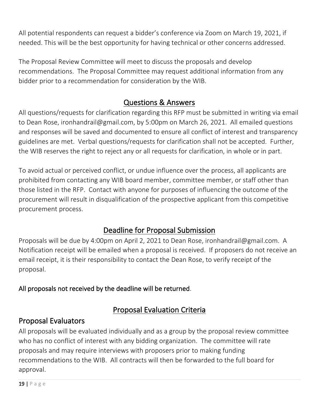All potential respondents can request a bidder's conference via Zoom on March 19, 2021, if needed. This will be the best opportunity for having technical or other concerns addressed.

The Proposal Review Committee will meet to discuss the proposals and develop recommendations. The Proposal Committee may request additional information from any bidder prior to a recommendation for consideration by the WIB.

#### Questions & Answers

All questions/requests for clarification regarding this RFP must be submitted in writing via email to Dean Rose, ironhandrail@gmail.com, by 5:00pm on March 26, 2021. All emailed questions and responses will be saved and documented to ensure all conflict of interest and transparency guidelines are met. Verbal questions/requests for clarification shall not be accepted. Further, the WIB reserves the right to reject any or all requests for clarification, in whole or in part.

To avoid actual or perceived conflict, or undue influence over the process, all applicants are prohibited from contacting any WIB board member, committee member, or staff other than those listed in the RFP. Contact with anyone for purposes of influencing the outcome of the procurement will result in disqualification of the prospective applicant from this competitive procurement process.

#### Deadline for Proposal Submission

Proposals will be due by 4:00pm on April 2, 2021 to Dean Rose, ironhandrail@gmail.com. A Notification receipt will be emailed when a proposal is received. If proposers do not receive an email receipt, it is their responsibility to contact the Dean Rose, to verify receipt of the proposal.

#### All proposals not received by the deadline will be returned.

#### Proposal Evaluation Criteria

#### Proposal Evaluators

All proposals will be evaluated individually and as a group by the proposal review committee who has no conflict of interest with any bidding organization. The committee will rate proposals and may require interviews with proposers prior to making funding recommendations to the WIB. All contracts will then be forwarded to the full board for approval.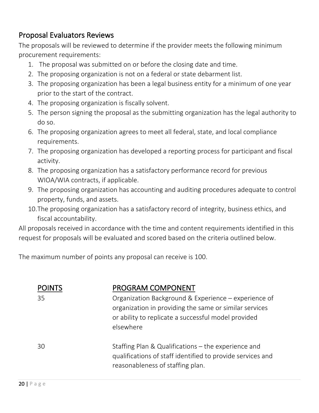#### Proposal Evaluators Reviews

The proposals will be reviewed to determine if the provider meets the following minimum procurement requirements:

- 1. The proposal was submitted on or before the closing date and time.
- 2. The proposing organization is not on a federal or state debarment list.
- 3. The proposing organization has been a legal business entity for a minimum of one year prior to the start of the contract.
- 4. The proposing organization is fiscally solvent.
- 5. The person signing the proposal as the submitting organization has the legal authority to do so.
- 6. The proposing organization agrees to meet all federal, state, and local compliance requirements.
- 7. The proposing organization has developed a reporting process for participant and fiscal activity.
- 8. The proposing organization has a satisfactory performance record for previous WIOA/WIA contracts, if applicable.
- 9. The proposing organization has accounting and auditing procedures adequate to control property, funds, and assets.
- 10.The proposing organization has a satisfactory record of integrity, business ethics, and fiscal accountability.

All proposals received in accordance with the time and content requirements identified in this request for proposals will be evaluated and scored based on the criteria outlined below.

The maximum number of points any proposal can receive is 100.

| <b>POINTS</b> | <b>PROGRAM COMPONENT</b>                                                                                                                                                           |
|---------------|------------------------------------------------------------------------------------------------------------------------------------------------------------------------------------|
| 35            | Organization Background & Experience - experience of<br>organization in providing the same or similar services<br>or ability to replicate a successful model provided<br>elsewhere |
| 30            | Staffing Plan & Qualifications – the experience and<br>qualifications of staff identified to provide services and<br>reasonableness of staffing plan.                              |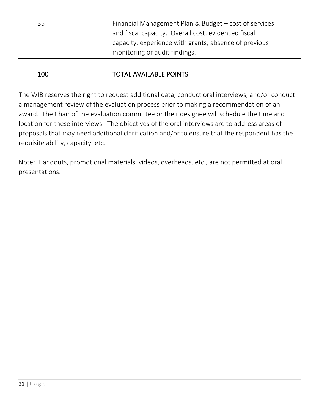35 Financial Management Plan & Budget – cost of services and fiscal capacity. Overall cost, evidenced fiscal capacity, experience with grants, absence of previous monitoring or audit findings.

#### 100 TOTAL AVAILABLE POINTS

The WIB reserves the right to request additional data, conduct oral interviews, and/or conduct a management review of the evaluation process prior to making a recommendation of an award. The Chair of the evaluation committee or their designee will schedule the time and location for these interviews. The objectives of the oral interviews are to address areas of proposals that may need additional clarification and/or to ensure that the respondent has the requisite ability, capacity, etc.

Note: Handouts, promotional materials, videos, overheads, etc., are not permitted at oral presentations.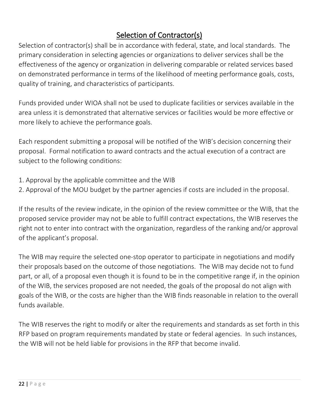#### Selection of Contractor(s)

Selection of contractor(s) shall be in accordance with federal, state, and local standards. The primary consideration in selecting agencies or organizations to deliver services shall be the effectiveness of the agency or organization in delivering comparable or related services based on demonstrated performance in terms of the likelihood of meeting performance goals, costs, quality of training, and characteristics of participants.

Funds provided under WIOA shall not be used to duplicate facilities or services available in the area unless it is demonstrated that alternative services or facilities would be more effective or more likely to achieve the performance goals.

Each respondent submitting a proposal will be notified of the WIB's decision concerning their proposal. Formal notification to award contracts and the actual execution of a contract are subject to the following conditions:

- 1. Approval by the applicable committee and the WIB
- 2. Approval of the MOU budget by the partner agencies if costs are included in the proposal.

If the results of the review indicate, in the opinion of the review committee or the WIB, that the proposed service provider may not be able to fulfill contract expectations, the WIB reserves the right not to enter into contract with the organization, regardless of the ranking and/or approval of the applicant's proposal.

The WIB may require the selected one-stop operator to participate in negotiations and modify their proposals based on the outcome of those negotiations. The WIB may decide not to fund part, or all, of a proposal even though it is found to be in the competitive range if, in the opinion of the WIB, the services proposed are not needed, the goals of the proposal do not align with goals of the WIB, or the costs are higher than the WIB finds reasonable in relation to the overall funds available.

The WIB reserves the right to modify or alter the requirements and standards as set forth in this RFP based on program requirements mandated by state or federal agencies. In such instances, the WIB will not be held liable for provisions in the RFP that become invalid.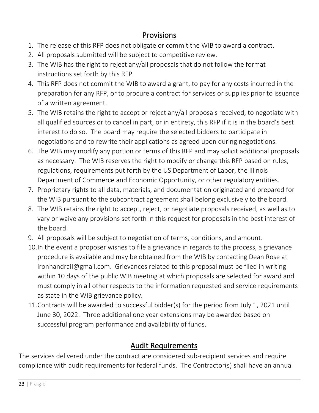#### **Provisions**

- 1. The release of this RFP does not obligate or commit the WIB to award a contract.
- 2. All proposals submitted will be subject to competitive review.
- 3. The WIB has the right to reject any/all proposals that do not follow the format instructions set forth by this RFP.
- 4. This RFP does not commit the WIB to award a grant, to pay for any costs incurred in the preparation for any RFP, or to procure a contract for services or supplies prior to issuance of a written agreement.
- 5. The WIB retains the right to accept or reject any/all proposals received, to negotiate with all qualified sources or to cancel in part, or in entirety, this RFP if it is in the board's best interest to do so. The board may require the selected bidders to participate in negotiations and to rewrite their applications as agreed upon during negotiations.
- 6. The WIB may modify any portion or terms of this RFP and may solicit additional proposals as necessary. The WIB reserves the right to modify or change this RFP based on rules, regulations, requirements put forth by the US Department of Labor, the Illinois Department of Commerce and Economic Opportunity, or other regulatory entities.
- 7. Proprietary rights to all data, materials, and documentation originated and prepared for the WIB pursuant to the subcontract agreement shall belong exclusively to the board.
- 8. The WIB retains the right to accept, reject, or negotiate proposals received, as well as to vary or waive any provisions set forth in this request for proposals in the best interest of the board.
- 9. All proposals will be subject to negotiation of terms, conditions, and amount.
- 10.In the event a proposer wishes to file a grievance in regards to the process, a grievance procedure is available and may be obtained from the WIB by contacting Dean Rose at ironhandrail@gmail.com. Grievances related to this proposal must be filed in writing within 10 days of the public WIB meeting at which proposals are selected for award and must comply in all other respects to the information requested and service requirements as state in the WIB grievance policy.
- 11.Contracts will be awarded to successful bidder(s) for the period from July 1, 2021 until June 30, 2022. Three additional one year extensions may be awarded based on successful program performance and availability of funds.

#### Audit Requirements

The services delivered under the contract are considered sub-recipient services and require compliance with audit requirements for federal funds. The Contractor(s) shall have an annual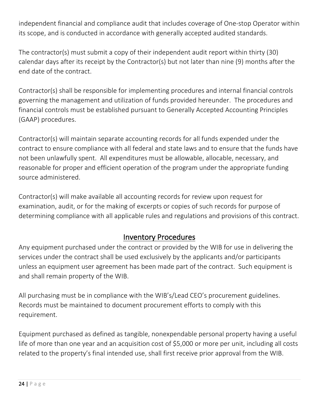independent financial and compliance audit that includes coverage of One-stop Operator within its scope, and is conducted in accordance with generally accepted audited standards.

The contractor(s) must submit a copy of their independent audit report within thirty (30) calendar days after its receipt by the Contractor(s) but not later than nine (9) months after the end date of the contract.

Contractor(s) shall be responsible for implementing procedures and internal financial controls governing the management and utilization of funds provided hereunder. The procedures and financial controls must be established pursuant to Generally Accepted Accounting Principles (GAAP) procedures.

Contractor(s) will maintain separate accounting records for all funds expended under the contract to ensure compliance with all federal and state laws and to ensure that the funds have not been unlawfully spent. All expenditures must be allowable, allocable, necessary, and reasonable for proper and efficient operation of the program under the appropriate funding source administered.

Contractor(s) will make available all accounting records for review upon request for examination, audit, or for the making of excerpts or copies of such records for purpose of determining compliance with all applicable rules and regulations and provisions of this contract.

#### Inventory Procedures

Any equipment purchased under the contract or provided by the WIB for use in delivering the services under the contract shall be used exclusively by the applicants and/or participants unless an equipment user agreement has been made part of the contract. Such equipment is and shall remain property of the WIB.

All purchasing must be in compliance with the WIB's/Lead CEO's procurement guidelines. Records must be maintained to document procurement efforts to comply with this requirement.

Equipment purchased as defined as tangible, nonexpendable personal property having a useful life of more than one year and an acquisition cost of \$5,000 or more per unit, including all costs related to the property's final intended use, shall first receive prior approval from the WIB.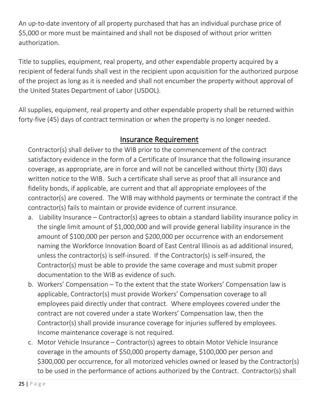An up-to-date inventory of all property purchased that has an individual purchase price of \$5,000 or more must be maintained and shall not be disposed of without prior written authorization.

Title to supplies, equipment, real property, and other expendable property acquired by a recipient of federal funds shall vest in the recipient upon acquisition for the authorized purpose of the project as long as it is needed and shall not encumber the property without approval of the United States Department of Labor (USDOL).

All supplies, equipment, real property and other expendable property shall be returned within forty-five (45) days of contract termination or when the property is no longer needed.

#### Insurance Requirement

Contractor(s) shall deliver to the WIB prior to the commencement of the contract satisfactory evidence in the form of a Certificate of Insurance that the following insurance coverage, as appropriate, are in force and will not be cancelled without thirty (30) days written notice to the WIB. Such a certificate shall serve as proof that all insurance and fidelity bonds, if applicable, are current and that all appropriate employees of the contractor(s) are covered. The WIB may withhold payments or terminate the contract if the contractor(s) fails to maintain or provide evidence of current insurance.

- a. Liability Insurance Contractor(s) agrees to obtain a standard liability insurance policy in the single limit amount of \$1,000,000 and will provide general liability insurance in the amount of \$100,000 per person and \$200,000 per occurrence with an endorsement naming the Workforce Innovation Board of East Central Illinois as ad additional insured, unless the contractor(s) is self-insured. If the Contractor(s) is self-insured, the Contractor(s) must be able to provide the same coverage and must submit proper documentation to the WIB as evidence of such.
- b. Workers' Compensation To the extent that the state Workers' Compensation law is applicable, Contractor(s) must provide Workers' Compensation coverage to all employees paid directly under that contract. Where employees covered under the contract are not covered under a state Workers' Compensation law, then the Contractor(s) shall provide insurance coverage for injuries suffered by employees. Income maintenance coverage is not required.
- c. Motor Vehicle Insurance Contractor(s) agrees to obtain Motor Vehicle Insurance coverage in the amounts of \$50,000 property damage, \$100,000 per person and \$300,000 per occurrence, for all motorized vehicles owned or leased by the Contractor(s) to be used in the performance of actions authorized by the Contract. Contractor(s) shall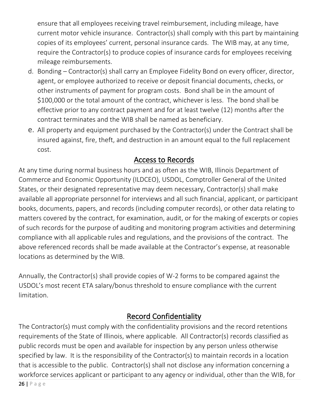ensure that all employees receiving travel reimbursement, including mileage, have current motor vehicle insurance. Contractor(s) shall comply with this part by maintaining copies of its employees' current, personal insurance cards. The WIB may, at any time, require the Contractor(s) to produce copies of insurance cards for employees receiving mileage reimbursements.

- d. Bonding Contractor(s) shall carry an Employee Fidelity Bond on every officer, director, agent, or employee authorized to receive or deposit financial documents, checks, or other instruments of payment for program costs. Bond shall be in the amount of \$100,000 or the total amount of the contract, whichever is less. The bond shall be effective prior to any contract payment and for at least twelve (12) months after the contract terminates and the WIB shall be named as beneficiary.
- e. All property and equipment purchased by the Contractor(s) under the Contract shall be insured against, fire, theft, and destruction in an amount equal to the full replacement cost.

#### Access to Records

At any time during normal business hours and as often as the WIB, Illinois Department of Commerce and Economic Opportunity (ILDCEO), USDOL, Comptroller General of the United States, or their designated representative may deem necessary, Contractor(s) shall make available all appropriate personnel for interviews and all such financial, applicant, or participant books, documents, papers, and records (including computer records), or other data relating to matters covered by the contract, for examination, audit, or for the making of excerpts or copies of such records for the purpose of auditing and monitoring program activities and determining compliance with all applicable rules and regulations, and the provisions of the contract. The above referenced records shall be made available at the Contractor's expense, at reasonable locations as determined by the WIB.

Annually, the Contractor(s) shall provide copies of W-2 forms to be compared against the USDOL's most recent ETA salary/bonus threshold to ensure compliance with the current limitation.

#### Record Confidentiality

The Contractor(s) must comply with the confidentiality provisions and the record retentions requirements of the State of Illinois, where applicable. All Contractor(s) records classified as public records must be open and available for inspection by any person unless otherwise specified by law. It is the responsibility of the Contractor(s) to maintain records in a location that is accessible to the public. Contractor(s) shall not disclose any information concerning a workforce services applicant or participant to any agency or individual, other than the WIB, for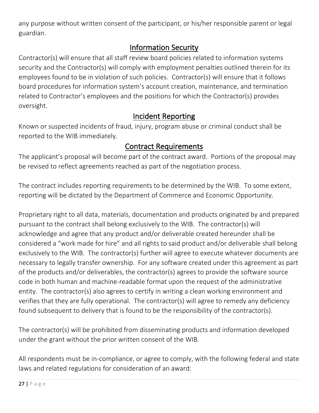any purpose without written consent of the participant, or his/her responsible parent or legal guardian.

#### Information Security

Contractor(s) will ensure that all staff review board policies related to information systems security and the Contractor(s) will comply with employment penalties outlined therein for its employees found to be in violation of such policies. Contractor(s) will ensure that it follows board procedures for information system's account creation, maintenance, and termination related to Contractor's employees and the positions for which the Contractor(s) provides oversight.

#### Incident Reporting

Known or suspected incidents of fraud, injury, program abuse or criminal conduct shall be reported to the WIB immediately.

#### Contract Requirements

The applicant's proposal will become part of the contract award. Portions of the proposal may be revised to reflect agreements reached as part of the negotiation process.

The contract includes reporting requirements to be determined by the WIB. To some extent, reporting will be dictated by the Department of Commerce and Economic Opportunity.

Proprietary right to all data, materials, documentation and products originated by and prepared pursuant to the contract shall belong exclusively to the WIB. The contractor(s) will acknowledge and agree that any product and/or deliverable created hereunder shall be considered a "work made for hire" and all rights to said product and/or deliverable shall belong exclusively to the WIB. The contractor(s) further will agree to execute whatever documents are necessary to legally transfer ownership. For any software created under this agreement as part of the products and/or deliverables, the contractor(s) agrees to provide the software source code in both human and machine-readable format upon the request of the administrative entity. The contractor(s) also agrees to certify in writing a clean working environment and verifies that they are fully operational. The contractor(s) will agree to remedy any deficiency found subsequent to delivery that is found to be the responsibility of the contractor(s).

The contractor(s) will be prohibited from disseminating products and information developed under the grant without the prior written consent of the WIB.

All respondents must be in-compliance, or agree to comply, with the following federal and state laws and related regulations for consideration of an award: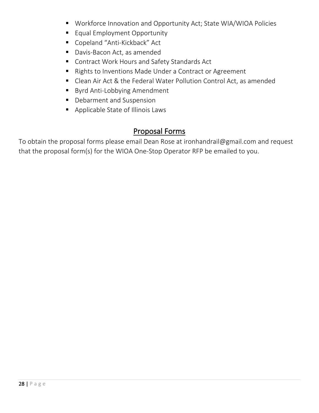- Workforce Innovation and Opportunity Act; State WIA/WIOA Policies
- Equal Employment Opportunity
- Copeland "Anti-Kickback" Act
- Davis-Bacon Act, as amended
- Contract Work Hours and Safety Standards Act
- Rights to Inventions Made Under a Contract or Agreement
- Clean Air Act & the Federal Water Pollution Control Act, as amended
- Byrd Anti-Lobbying Amendment
- Debarment and Suspension
- Applicable State of Illinois Laws

#### Proposal Forms

To obtain the proposal forms please email Dean Rose at ironhandrail@gmail.com and request that the proposal form(s) for the WIOA One-Stop Operator RFP be emailed to you.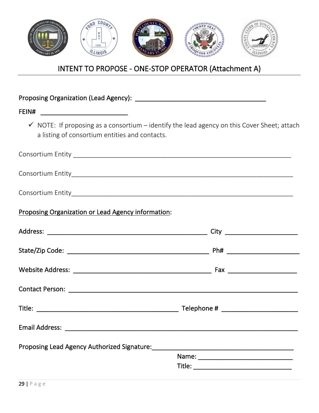

#### INTENT TO PROPOSE - ONE-STOP OPERATOR (Attachment A)

| $\checkmark$ NOTE: If proposing as a consortium - identify the lead agency on this Cover Sheet; attach<br>a listing of consortium entities and contacts. |  |
|----------------------------------------------------------------------------------------------------------------------------------------------------------|--|
|                                                                                                                                                          |  |
|                                                                                                                                                          |  |
|                                                                                                                                                          |  |
| Proposing Organization or Lead Agency information:                                                                                                       |  |
|                                                                                                                                                          |  |
|                                                                                                                                                          |  |
|                                                                                                                                                          |  |
|                                                                                                                                                          |  |
|                                                                                                                                                          |  |
|                                                                                                                                                          |  |
| Proposing Lead Agency Authorized Signature:                                                                                                              |  |
|                                                                                                                                                          |  |
|                                                                                                                                                          |  |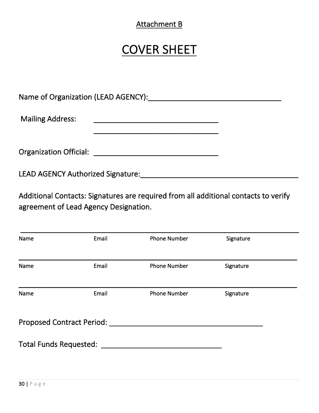#### Attachment B

## COVER SHEET

Name of Organization (LEAD AGENCY):\_\_\_\_\_\_\_\_\_\_\_\_\_\_\_\_\_\_\_\_\_\_\_\_\_\_\_\_\_\_\_\_

Mailing Address: \_\_\_\_\_\_\_\_\_\_\_\_\_\_\_\_\_\_\_\_\_\_\_\_\_\_\_\_\_\_

Organization Official: \_\_\_\_\_\_\_\_\_\_\_\_\_\_\_\_\_\_\_\_\_\_\_\_\_\_\_\_\_\_

LEAD AGENCY Authorized Signature:\_\_\_\_\_\_\_\_\_\_\_\_\_\_\_\_\_\_\_\_\_\_\_\_\_\_\_\_\_\_\_\_\_\_\_\_\_\_

Additional Contacts: Signatures are required from all additional contacts to verify agreement of Lead Agency Designation.

 $\overline{\phantom{a}}$  ,  $\overline{\phantom{a}}$  ,  $\overline{\phantom{a}}$  ,  $\overline{\phantom{a}}$  ,  $\overline{\phantom{a}}$  ,  $\overline{\phantom{a}}$  ,  $\overline{\phantom{a}}$  ,  $\overline{\phantom{a}}$  ,  $\overline{\phantom{a}}$  ,  $\overline{\phantom{a}}$  ,  $\overline{\phantom{a}}$  ,  $\overline{\phantom{a}}$  ,  $\overline{\phantom{a}}$  ,  $\overline{\phantom{a}}$  ,  $\overline{\phantom{a}}$  ,  $\overline{\phantom{a}}$ 

| Name                          | Email | <b>Phone Number</b> | Signature |  |
|-------------------------------|-------|---------------------|-----------|--|
| Name                          | Email | <b>Phone Number</b> | Signature |  |
| Name                          | Email | <b>Phone Number</b> | Signature |  |
| Proposed Contract Period:     |       |                     |           |  |
| <b>Total Funds Requested:</b> |       |                     |           |  |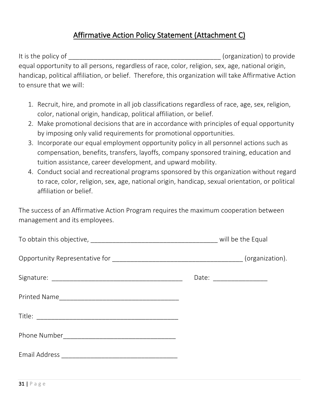#### Affirmative Action Policy Statement (Attachment C)

It is the policy of  $(organization)$  to provide equal opportunity to all persons, regardless of race, color, religion, sex, age, national origin, handicap, political affiliation, or belief. Therefore, this organization will take Affirmative Action to ensure that we will:

- 1. Recruit, hire, and promote in all job classifications regardless of race, age, sex, religion, color, national origin, handicap, political affiliation, or belief.
- 2. Make promotional decisions that are in accordance with principles of equal opportunity by imposing only valid requirements for promotional opportunities.
- 3. Incorporate our equal employment opportunity policy in all personnel actions such as compensation, benefits, transfers, layoffs, company sponsored training, education and tuition assistance, career development, and upward mobility.
- 4. Conduct social and recreational programs sponsored by this organization without regard to race, color, religion, sex, age, national origin, handicap, sexual orientation, or political affiliation or belief.

The success of an Affirmative Action Program requires the maximum cooperation between management and its employees.

| Printed Name |  |  |
|--------------|--|--|
|              |  |  |
|              |  |  |
|              |  |  |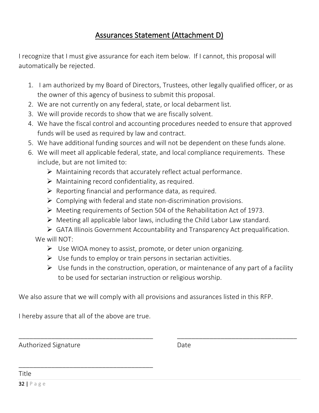#### Assurances Statement (Attachment D)

I recognize that I must give assurance for each item below. If I cannot, this proposal will automatically be rejected.

- 1. I am authorized by my Board of Directors, Trustees, other legally qualified officer, or as the owner of this agency of business to submit this proposal.
- 2. We are not currently on any federal, state, or local debarment list.
- 3. We will provide records to show that we are fiscally solvent.
- 4. We have the fiscal control and accounting procedures needed to ensure that approved funds will be used as required by law and contract.
- 5. We have additional funding sources and will not be dependent on these funds alone.
- 6. We will meet all applicable federal, state, and local compliance requirements. These include, but are not limited to:
	- $\triangleright$  Maintaining records that accurately reflect actual performance.
	- $\triangleright$  Maintaining record confidentiality, as required.
	- $\triangleright$  Reporting financial and performance data, as required.
	- $\triangleright$  Complying with federal and state non-discrimination provisions.
	- $\triangleright$  Meeting requirements of Section 504 of the Rehabilitation Act of 1973.
	- $\triangleright$  Meeting all applicable labor laws, including the Child Labor Law standard.

 $\triangleright$  GATA Illinois Government Accountability and Transparency Act prequalification. We will NOT:

- $\triangleright$  Use WIOA money to assist, promote, or deter union organizing.
- $\triangleright$  Use funds to employ or train persons in sectarian activities.
- $\triangleright$  Use funds in the construction, operation, or maintenance of any part of a facility to be used for sectarian instruction or religious worship.

We also assure that we will comply with all provisions and assurances listed in this RFP.

\_\_\_\_\_\_\_\_\_\_\_\_\_\_\_\_\_\_\_\_\_\_\_\_\_\_\_\_\_\_\_\_\_\_\_\_\_ \_\_\_\_\_\_\_\_\_\_\_\_\_\_\_\_\_\_\_\_\_\_\_\_\_\_\_\_\_\_\_\_\_

I hereby assure that all of the above are true.

\_\_\_\_\_\_\_\_\_\_\_\_\_\_\_\_\_\_\_\_\_\_\_\_\_\_\_\_\_\_\_\_\_\_\_\_\_

Authorized Signature **Date** Date

Title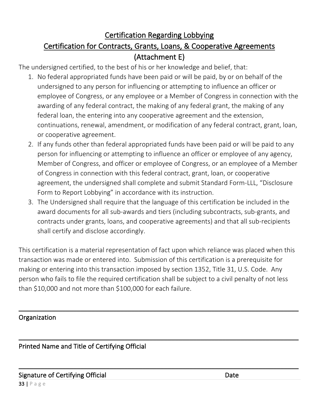#### Certification Regarding Lobbying Certification for Contracts, Grants, Loans, & Cooperative Agreements (Attachment E)

The undersigned certified, to the best of his or her knowledge and belief, that:

- 1. No federal appropriated funds have been paid or will be paid, by or on behalf of the undersigned to any person for influencing or attempting to influence an officer or employee of Congress, or any employee or a Member of Congress in connection with the awarding of any federal contract, the making of any federal grant, the making of any federal loan, the entering into any cooperative agreement and the extension, continuations, renewal, amendment, or modification of any federal contract, grant, loan, or cooperative agreement.
- 2. If any funds other than federal appropriated funds have been paid or will be paid to any person for influencing or attempting to influence an officer or employee of any agency, Member of Congress, and officer or employee of Congress, or an employee of a Member of Congress in connection with this federal contract, grant, loan, or cooperative agreement, the undersigned shall complete and submit Standard Form-LLL, "Disclosure Form to Report Lobbying" in accordance with its instruction.
- 3. The Undersigned shall require that the language of this certification be included in the award documents for all sub-awards and tiers (including subcontracts, sub-grants, and contracts under grants, loans, and cooperative agreements) and that all sub-recipients shall certify and disclose accordingly.

This certification is a material representation of fact upon which reliance was placed when this transaction was made or entered into. Submission of this certification is a prerequisite for making or entering into this transaction imposed by section 1352, Title 31, U.S. Code. Any person who fails to file the required certification shall be subject to a civil penalty of not less than \$10,000 and not more than \$100,000 for each failure.

\_\_\_\_\_\_\_\_\_\_\_\_\_\_\_\_\_\_\_\_\_\_\_\_\_\_\_\_\_\_\_\_\_\_\_\_\_\_\_\_\_\_\_\_\_\_\_\_\_\_\_\_\_\_\_\_\_\_\_\_\_\_\_\_\_\_\_\_\_\_\_\_\_\_\_\_\_

\_\_\_\_\_\_\_\_\_\_\_\_\_\_\_\_\_\_\_\_\_\_\_\_\_\_\_\_\_\_\_\_\_\_\_\_\_\_\_\_\_\_\_\_\_\_\_\_\_\_\_\_\_\_\_\_\_\_\_\_\_\_\_\_\_\_\_\_\_\_\_\_\_\_\_\_\_

\_\_\_\_\_\_\_\_\_\_\_\_\_\_\_\_\_\_\_\_\_\_\_\_\_\_\_\_\_\_\_\_\_\_\_\_\_\_\_\_\_\_\_\_\_\_\_\_\_\_\_\_\_\_\_\_\_\_\_\_\_\_\_\_\_\_\_\_\_\_\_\_\_\_\_\_\_

#### **Organization**

Printed Name and Title of Certifying Official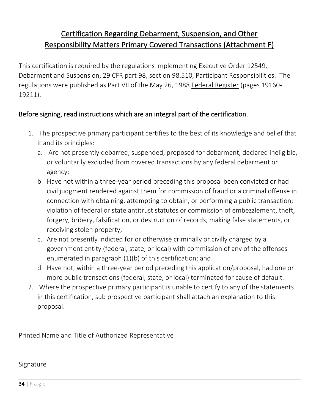#### Certification Regarding Debarment, Suspension, and Other Responsibility Matters Primary Covered Transactions (Attachment F)

This certification is required by the regulations implementing Executive Order 12549, Debarment and Suspension, 29 CFR part 98, section 98.510, Participant Responsibilities. The regulations were published as Part VII of the May 26, 1988 Federal Register (pages 19160- 19211).

#### Before signing, read instructions which are an integral part of the certification.

- 1. The prospective primary participant certifies to the best of its knowledge and belief that it and its principles:
	- a. Are not presently debarred, suspended, proposed for debarment, declared ineligible, or voluntarily excluded from covered transactions by any federal debarment or agency;
	- b. Have not within a three-year period preceding this proposal been convicted or had civil judgment rendered against them for commission of fraud or a criminal offense in connection with obtaining, attempting to obtain, or performing a public transaction; violation of federal or state antitrust statutes or commission of embezzlement, theft, forgery, bribery, falsification, or destruction of records, making false statements, or receiving stolen property;
	- c. Are not presently indicted for or otherwise criminally or civilly charged by a government entity (federal, state, or local) with commission of any of the offenses enumerated in paragraph (1)(b) of this certification; and
	- d. Have not, within a three-year period preceding this application/proposal, had one or more public transactions (federal, state, or local) terminated for cause of default.
- 2. Where the prospective primary participant is unable to certify to any of the statements in this certification, sub prospective participant shall attach an explanation to this proposal.

\_\_\_\_\_\_\_\_\_\_\_\_\_\_\_\_\_\_\_\_\_\_\_\_\_\_\_\_\_\_\_\_\_\_\_\_\_\_\_\_\_\_\_\_\_\_\_\_\_\_\_\_\_\_\_\_\_\_\_\_\_\_\_\_

\_\_\_\_\_\_\_\_\_\_\_\_\_\_\_\_\_\_\_\_\_\_\_\_\_\_\_\_\_\_\_\_\_\_\_\_\_\_\_\_\_\_\_\_\_\_\_\_\_\_\_\_\_\_\_\_\_\_\_\_\_\_\_\_

Printed Name and Title of Authorized Representative

#### Signature